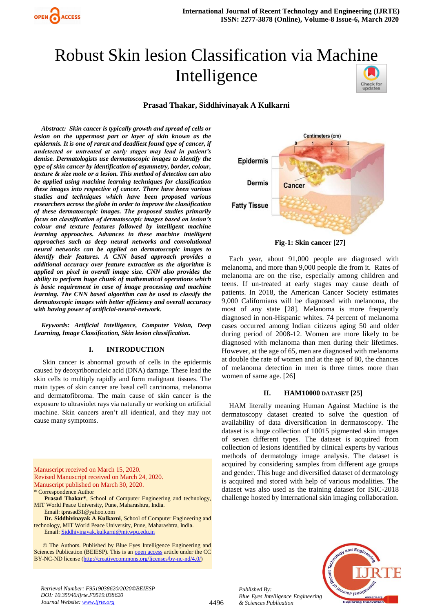

# Robust Skin lesion Classification via Mac[hine](https://crossmark.crossref.org/dialog/?doi=10.35940/ijrte.F9519.038620&domain=www.ijrte.org)  Intelligence Check for<br>updates

# **Prasad Thakar, Siddhivinayak A Kulkarni**

*Abstract: Skin cancer is typically growth and spread of cells or lesion on the uppermost part or layer of skin known as the epidermis. It is one of rarest and deadliest found type of cancer, if undetected or untreated at early stages may lead in patient's demise. Dermatologists use dermatoscopic images to identify the type of skin cancer by identification of asymmetry, border, colour, texture & size mole or a lesion. This method of detection can also be applied using machine learning techniques for classification these images into respective of cancer. There have been various studies and techniques which have been proposed various researchers across the globe in order to improve the classification of these dermatoscopic images. The proposed studies primarily focus on classification of dermatoscopic images based on lesion's colour and texture features followed by intelligent machine learning approaches. Advances in these machine intelligent approaches such as deep neural networks and convolutional neural networks can be applied on dermatoscopic images to identify their features. A CNN based approach provides a additional accuracy over feature extraction as the algorithm is applied on pixel in overall image size. CNN also provides the ability to perform huge chunk of mathematical operations which is basic requirement in case of image processing and machine learning. The CNN based algorithm can be used to classify the dermatoscopic images with better efficiency and overall accuracy with having power of artificial-neural-network.*

*Keywords: Artificial Intelligence, Computer Vision, Deep Learning, Image Classification, Skin lesion classification.*

# **I. INTRODUCTION**

Skin cancer is abnormal growth of cells in the epidermis caused by deoxyribonucleic acid (DNA) damage. These lead the skin cells to multiply rapidly and form malignant tissues. The main types of skin cancer are basal cell carcinoma, melanoma and dermatofibroma. The main cause of skin cancer is the exposure to ultraviolet rays via naturally or working on artificial machine. Skin cancers aren't all identical, and they may not cause many symptoms.

Manuscript received on March 15, 2020. Revised Manuscript received on March 24, 2020. Manuscript published on March 30, 2020. \* Correspondence Author

**Prasad Thakar\***, School of Computer Engineering and technology, MIT World Peace University, Pune, Maharashtra, India. Email: tprasad31@yahoo.com

**Dr. Siddhivinayak A Kulkarni**, School of Computer Engineering and technology, MIT World Peace University, Pune, Maharashtra, India. Email[: Siddhivinayak.kulkarni@mitwpu.edu.in](mailto:Siddhivinayak.kulkarni@mitwpu.edu.in)

 © The Authors. Published by Blue Eyes Intelligence Engineering and Sciences Publication (BEIESP). This is an [open access](https://www.openaccess.nl/en/open-publications) article under the CC BY-NC-ND license [\(http://creativecommons.org/licenses/by-nc-nd/4.0/\)](http://creativecommons.org/licenses/by-nc-nd/4.0/)



**Fig-1: Skin cancer [27]** 

 Each year, about 91,000 people are diagnosed with melanoma, and more than 9,000 people die from it. Rates of melanoma are on the rise, especially among children and teens. If un-treated at early stages may cause death of patients. In 2018, the American Cancer Society estimates 9,000 Californians will be diagnosed with melanoma, the most of any state [28]. Melanoma is more frequently diagnosed in non-Hispanic whites. 74 percent of melanoma cases occurred among Indian citizens aging 50 and older during period of 2008-12. Women are more likely to be diagnosed with melanoma than men during their lifetimes. However, at the age of 65, men are diagnosed with melanoma at double the rate of women and at the age of 80, the chances of melanoma detection in men is three times more than women of same age. [26]

### **II. HAM10000 DATASET [25]**

HAM literally meaning Human Against Machine is the dermatoscopy dataset created to solve the question of availability of data diversification in dermatoscopy. The dataset is a huge collection of 10015 pigmented skin images of seven different types. The dataset is acquired from collection of lesions identified by clinical experts by various methods of dermatology image analysis. The dataset is acquired by considering samples from different age groups and gender. This huge and diversified dataset of dermatology is acquired and stored with help of various modalities. The dataset was also used as the training dataset for ISIC-2018 challenge hosted by International skin imaging collaboration.



*Retrieval Number: F9519038620/2020©BEIESP DOI: 10.35940/ijrte.F9519.038620 Journal Website: www.ijrte.org*

*Published By:*

*& Sciences Publication*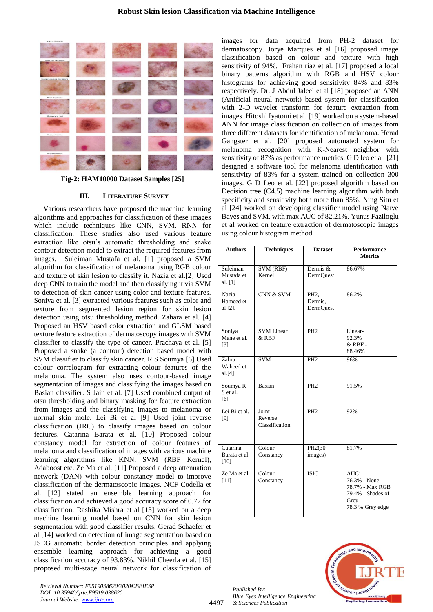

**Fig-2: HAM10000 Dataset Samples [25]**

# **III. LITERATURE SURVEY**

 Various researchers have proposed the machine learning algorithms and approaches for classification of these images which include techniques like CNN, SVM, RNN for classification. These studies also used various feature extraction like otsu's automatic thresholding and snake contour detection model to extract the required features from images. Suleiman Mustafa et al. [1] proposed a SVM algorithm for classification of melanoma using RGB colour and texture of skin lesion to classify it. Nazia et al.[2] Used deep CNN to train the model and then classifying it via SVM to detection of skin cancer using color and texture features. Soniya et al. [3] extracted various features such as color and texture from segmented lesion region for skin lesion detection using otsu thresholding method. Zahara et al. [4] Proposed an HSV based color extraction and GLSM based texture feature extraction of dermatoscopy images with SVM classifier to classify the type of cancer. Prachaya et al. [5] Proposed a snake (a contour) detection based model with SVM classifier to classify skin cancer. R S Soumya [6] Used colour correlogram for extracting colour features of the melanoma. The system also uses contour-based image segmentation of images and classifying the images based on Basian classifier. S Jain et al. [7] Used combined output of otsu thresholding and binary masking for feature extraction from images and the classifying images to melanoma or normal skin mole. Lei Bi et al [9] Used joint reverse classification (JRC) to classify images based on colour features. Catarina Barata et al. [10] Proposed colour constancy model for extraction of colour features of melanoma and classification of images with various machine learning algorithms like KNN, SVM (RBF Kernel), Adaboost etc. Ze Ma et al. [11] Proposed a deep attenuation network (DAN) with colour constancy model to improve classification of the dermatoscopic images. NCF Codella et al. [12] stated an ensemble learning approach for classification and achieved a good accuracy score of 0.77 for classification. Rashika Mishra et al [13] worked on a deep machine learning model based on CNN for skin lesion segmentation with good classifier results. Gerad Schaefer et al [14] worked on detection of image segmentation based on JSEG automatic border detection principles and applying ensemble learning approach for achieving a good classification accuracy of 93.83%. Nikhil Cheerla et al. [15] proposed multi-stage neural network for classification of

images for data acquired from PH-2 dataset for dermatoscopy. Jorye Marques et al [16] proposed image classification based on colour and texture with high sensitivity of 94%. Frahan riaz et al. [17] proposed a local binary patterns algorithm with RGB and HSV colour histograms for achieving good sensitivity 84% and 83% respectively. Dr. J Abdul Jaleel et al [18] proposed an ANN (Artificial neural network) based system for classification with 2-D wavelet transform for feature extraction from images. Hitoshi Iyatomi et al. [19] worked on a system-based ANN for image classification on collection of images from three different datasets for identification of melanoma. Herad Gangster et al. [20] proposed automated system for melanoma recognition with K-Nearest neighbor with sensitivity of 87% as performance metrics. G D leo et al. [21] designed a software tool for melanoma identification with sensitivity of 83% for a system trained on collection 300 images. G D Leo et al. [22] proposed algorithm based on Decision tree (C4.5) machine learning algorithm with both specificity and sensitivity both more than 85%. Ning Situ et al [24] worked on developing classifier model using Naïve Bayes and SVM. with max AUC of 82.21%. Yunus Faziloglu et al worked on feature extraction of dermatoscopic images using colour histogram method.

| <b>Authors</b>                       | <b>Techniques</b>                  | <b>Dataset</b>                                 | Performance<br><b>Metrics</b>                                                            |
|--------------------------------------|------------------------------------|------------------------------------------------|------------------------------------------------------------------------------------------|
| Suleiman<br>Mustafa et<br>al. $[1]$  | <b>SVM (RBF)</b><br>Kernel         | Dermis &<br>DermOuest                          | 86.67%                                                                                   |
| <b>Nazia</b><br>Hameed et<br>al [2]. | CNN & SVM                          | PH <sub>2</sub><br>Dermis,<br><b>DermQuest</b> | 86.2%                                                                                    |
| Soniya<br>Mane et al.<br>$[3]$       | <b>SVM Linear</b><br>$&$ RBF       | PH <sub>2</sub>                                | Linear-<br>92.3%<br>& RBF-<br>88.46%                                                     |
| Zahra<br>Waheed et<br>al.[4]         | <b>SVM</b>                         | PH <sub>2</sub>                                | 96%                                                                                      |
| Soumya R<br>S et al.<br>[6]          | <b>Basian</b>                      | PH <sub>2</sub>                                | 91.5%                                                                                    |
| Lei Bi et al.<br>[9]                 | Joint<br>Reverse<br>Classification | PH <sub>2</sub>                                | 92%                                                                                      |
| Catarina<br>Barata et al.<br>[10]    | Colour<br>Constancy                | PH2(30)<br>images)                             | 81.7%                                                                                    |
| Ze Ma et al.<br>$[11]$               | Colour<br>Constancy                | <b>ISIC</b>                                    | AUC:<br>76.3% - None<br>78.7% - Max RGB<br>79.4% - Shades of<br>Grey<br>78.3 % Grey edge |



*Retrieval Number: F9519038620/2020©BEIESP DOI: 10.35940/ijrte.F9519.038620 Journal Website: www.ijrte.org*

*Published By:*

*& Sciences Publication* 

*Blue Eyes Intelligence Engineering*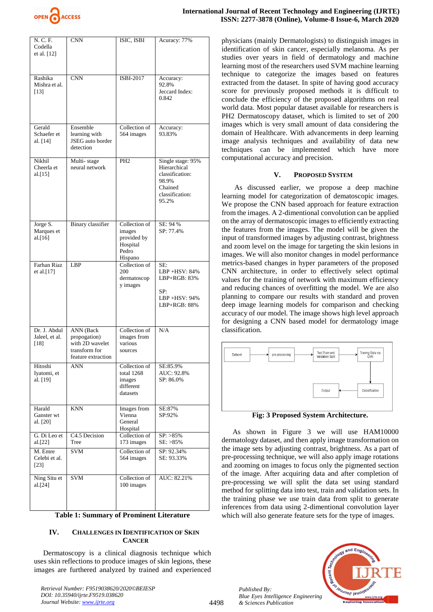

| N. C. F.<br>Codella<br>et al. [12]       | <b>CNN</b>                                                                          | ISIC, ISBI                                                             | Acuracy: 77%                                                                                         |
|------------------------------------------|-------------------------------------------------------------------------------------|------------------------------------------------------------------------|------------------------------------------------------------------------------------------------------|
| Rashika<br>Mishra et al.<br>$[13]$       | <b>CNN</b>                                                                          | ISBI-2017                                                              | Accuracy:<br>92.8%<br>Jeccard Index:<br>0.842                                                        |
| Gerald<br>Schaefer et<br>al. [14]        | Ensemble<br>learning with<br>JSEG auto border<br>detection                          | Collection of<br>564 images                                            | Accuracy:<br>93.83%                                                                                  |
| Nikhil<br>Cheerla et<br>al.[15]          | Multi-stage<br>neural network                                                       | PH <sub>2</sub>                                                        | Single stage: 95%<br>Hierarchical<br>classification:<br>98.9%<br>Chained<br>classification:<br>95.2% |
| Jorge S.<br>Marques et<br>al. $[16]$     | Binary classifier                                                                   | Collection of<br>images<br>provided by<br>Hospital<br>Pedro<br>Hispano | SE: 94 %<br>SP: 77.4%                                                                                |
| Farhan Riaz<br>et al. $[17]$             | LBP                                                                                 | Collection of<br>200<br>dermatoscop<br>y images                        | SE:<br>LBP +HSV: 84%<br>LBP+RGB: 83%<br>SP:<br>LBP +HSV: 94%<br>LBP+RGB: 88%                         |
| Dr. J. Abdul<br>Jaleel, et al.<br>$[18]$ | ANN (Back<br>propogation)<br>with 2D wavelet<br>transform for<br>feature extraction | Collection of<br>images from<br>various<br>sources                     | N/A                                                                                                  |
| Hitoshi<br>Iyatomi, et<br>al. [19]       | ANN                                                                                 | Collection of<br>total 1268<br>images<br>different<br>datasets         | SE:85.9%<br>AUC: 92.8%<br>SP: 86.0%                                                                  |
| Harald<br>Ganster wt<br>al. [20]         | KNN                                                                                 | Images from<br>Vienna<br>General<br>Hospital                           | SE:87%<br>SP:92%                                                                                     |
| G. Di Leo et<br>al.[22]                  | C4.5 Decision<br>Tree                                                               | Collection of<br>173 images                                            | $SP: >85\%$<br>$SE: >85\%$                                                                           |
| M. Emre<br>Celebi et al.<br>$[23]$       | <b>SVM</b>                                                                          | Collection of<br>564 images                                            | SP: 92.34%<br>SE: 93.33%                                                                             |
| Ning Situ et<br>al.[24]                  | SVM                                                                                 | Collection of<br>100 images                                            | AUC: 82.21%                                                                                          |

**Table 1: Summary of Prominent Literature**

# **IV. CHALLENGES IN IDENTIFICATION OF SKIN CANCER**

 Dermatoscopy is a clinical diagnosis technique which uses skin reflections to produce images of skin legions, these images are furthered analyzed by trained and experienced

*Retrieval Number: F9519038620/2020©BEIESP DOI: 10.35940/ijrte.F9519.038620 Journal Website: www.ijrte.org*

physicians (mainly Dermatologists) to distinguish images in identification of skin cancer, especially melanoma. As per studies over years in field of dermatology and machine learning most of the researchers used SVM machine learning technique to categorize the images based on features extracted from the dataset. In spite of having good accuracy score for previously proposed methods it is difficult to conclude the efficiency of the proposed algorithms on real world data. Most popular dataset available for researchers is PH2 Dermatoscopy dataset, which is limited to set of 200 images which is very small amount of data considering the domain of Healthcare. With advancements in deep learning image analysis techniques and availability of data new techniques can be implemented which have more computational accuracy and precision.

## **V. PROPOSED SYSTEM**

 As discussed earlier, we propose a deep machine learning model for categorization of dematoscopic images. We propose the CNN based approach for feature extraction from the images. A 2-dimentional convolution can be applied on the array of dermatoscopic images to efficiently extracting the features from the images. The model will be given the input of transformed images by adjusting contrast, brightness and zoom level on the image for targeting the skin lesions in images. We will also monitor changes in model performance metrics-based changes in hyper parameters of the proposed CNN architecture, in order to effectively select optimal values for the training of network with maximum efficiency and reducing chances of overfitting the model. We are also planning to compare our results with standard and proven deep image learning models for comparison and checking accuracy of our model. The image shows high level approach for designing a CNN based model for dermatology image classification.



**Fig: 3 Proposed System Architecture.**

 As shown in Figure 3 we will use HAM10000 dermatology dataset, and then apply image transformation on the image sets by adjusting contrast, brightness. As a part of pre-processing technique, we will also apply image rotations and zooming on images to focus only the pigmented section of the image. After acquiring data and after completion of pre-processing we will split the data set using standard method for splitting data into test, train and validation sets. In the training phase we use train data from split to generate inferences from data using 2-dimentional convolution layer which will also generate feature sets for the type of images.



*Published By: Blue Eyes Intelligence Engineering & Sciences Publication*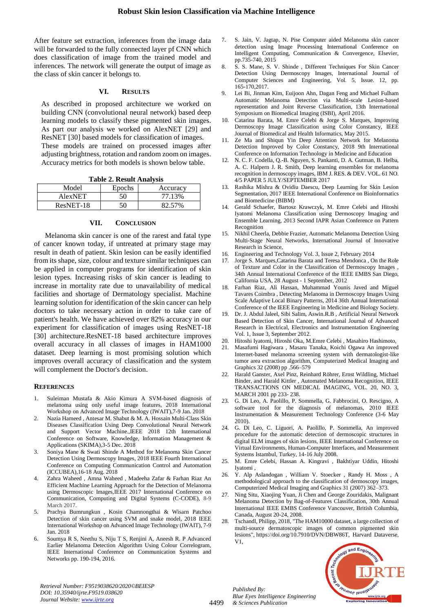After feature set extraction, inferences from the image data will be forwarded to the fully connected layer pf CNN which does classification of image from the trained model and inferences. The network will generate the output of image as the class of skin cancer it belongs to.

### **VI. RESULTS**

As described in proposed architecture we worked on building CNN (convolutional neural network) based deep learning models to classify these pigmented skin images. As part our analysis we worked on AlexNET [29] and ResNET [30] based models for classification of images. These models are trained on processed images after adjusting brightness, rotation and random zoom on images. Accuracy metrics for both models is shown below table.

**Table 2. Result Analysis**

| .         |        |          |  |  |
|-----------|--------|----------|--|--|
| Model     | Epochs | Accuracy |  |  |
| AlexNET   | 50     | 77.13%   |  |  |
| ResNET-18 |        | 82.57%   |  |  |

#### **VII. CONCLUSION**

 Melanoma skin cancer is one of the rarest and fatal type of cancer known today, if untreated at primary stage may result in death of patient. Skin lesion can be easily identified from its shape, size, colour and texture similar techniques can be applied in computer programs for identification of skin lesion types. Increasing risks of skin cancer is leading to increase in mortality rate due to unavailability of medical facilities and shortage of Dermatology specialist. Machine learning solution for identification of the skin cancer can help doctors to take necessary action in order to take care of patient's health. We have achieved over 82% accuracy in our experiment for classification of images using ResNET-18 [30] architecture.ResNET-18 based architecture improves overall accuracy in all classes of images in HAM1000 dataset. Deep learning is most promising solution which improves overall accuracy of classification and the system will complement the Doctor's decision.

#### **REFERENCES**

- 1. Suleiman Mustafa & Akio Kimura A SVM-based diagnosis of melanoma using only useful image features, 2018 International Workshop on Advanced Image Technology (IWAIT),7-9 Jan. 2018
- 2. Nazia Hameed , Antesar M. Shabut & M. A. Hossain Multi-Class Skin Diseases Classification Using Deep Convolutional Neural Network and Support Vector Machine.,IEEE 2018 12th International Conference on Software, Knowledge, Information Management & Applications (SKIMA),3-5 Dec. 2018
- 3. Soniya Mane & Swati Shinde A Method for Melanoma Skin Cancer Detection Using Dermoscopy Images, 2018 IEEE Fourth International Conference on Computing Communication Control and Automation (ICCUBEA),16-18 Aug. 2018
- 4. Zahra Waheed , Amna Waheed , Madeeha Zafar & Farhan Riaz An Efficient Machine Learning Approach for the Detection of Melanoma using Dermoscopic Images,IEEE 2017 International Conference on Communication, Computing and Digital Systems (C-CODE), 8-9 March 2017.
- 5. Prachya Bumrungkun , Kosin Chamnongthai & Wisarn Patchoo Detection of skin cancer using SVM and snake model, 2018 IEEE International Workshop on Advanced Image Technology (IWAIT), 7-9 Jan. 2018
- 6. Soumya R S, Neethu S, Niju T S, Renjini A, Aneesh R. P Advanced Earlier Melanoma Detection Algorithm Using Colour Correlogram, IEEE International Conference on Communication Systems and Networks pp. 190-194, 2016.
- 7. S. Jain, V. Jagtap, N. Pise Computer aided Melanoma skin cancer detection using Image Processing International Conference on Intelligent Computing, Communication & Convergence, Elsevier, pp.735-740, 2015
- 8. S. S. Mane, S. V. Shinde , Different Techniques For Skin Cancer Detection Using Dermoscopy Images, International Journal of Computer Sciences and Engineering, Vol. 5, Issue. 12, pp. 165-170,2017.
- 9. Lei Bi, Jinman Kim, Euijoon Ahn, Dagan Feng and Michael Fulham Automatic Melanoma Detection via Multi-scale Lesion-based representation and Joint Reverse Classification, 13th International Symposium on Biomedical Imaging (ISBI), April 2016.
- 10. Catarina Barata, M. Emre Celebi & Jorge S. Marques, Improving Dermoscopy Image Classification using Color Constancy, IEEE Journal of Biomedical and Health Informatics, May 2015.
- 11. Ze Ma and Shiqun Yin Deep Attention Network for Melanoma Detection Improved by Color Constancy, 2018 9th International Conference on Information Technology in Medicine and Education
- 12. N. C. F. Codella, Q.-B. Nguyen, S. Pankanti, D. A. Gutman, B. Helba, A. C. Halpern J. R. Smith, Deep learning ensembles for melanoma recognition in dermoscopy images, IBM J. RES. & DEV. VOL. 61 NO. 4/5 PAPER 5 JULY/SEPTEMBER 2017
- 13. Rashika Mishra & Ovidiu Daescu, Deep Learning for Skin Lesion Segmentation, 2017 IEEE International Conference on Bioinformatics and Biomedicine (BIBM)
- 14. Gerald Schaefer, Bartosz Krawczyk, M. Emre Celebi and Hitoshi Iyatomi Melanoma Classification using Dermoscopy Imaging and Ensemble Learning, 2013 Second IAPR Asian Conference on Pattern **Recognition**
- 15. Nikhil Cheerla, Debbie Frazier, Automatic Melanoma Detection Using Multi-Stage Neural Networks, International Journal of Innovative Research in Science,
- 16. Engineering and Technology Vol. 3, Issue 2, February 2014
- 17. Jorge S. Marques,Catarina Barata and Teresa Mendonca , On the Role of Texture and Color in the Classification of Dermoscopy Images , 34th Annual International Conference of the IEEE EMBS San Diego, California USA, 28 August - 1 September, 2012
- 18. Farhan Riaz, Ali Hassan, Muhammad Younis Javed and Miguel Tavares Coimbra , Detecting Melanoma in Dermoscopy Images Using Scale Adaptive Local Binary Patterns, 2014 36th Annual International Conference of the IEEE Engineering in Medicine and Biology Society.
- 19. Dr. J. Abdul Jaleel, Sibi Salim, Aswin.R.B , Artificial Neural Network Based Detection of Skin Cancer, International Journal of Advanced Research in Electrical, Electronics and Instrumentation Engineering Vol. 1, Issue 3, September 2012.
- 20. Hitoshi Iyatomi, Hiroshi Oka, M.Emre Celebi , Masahiro Hashimoto,
- 21. Masafumi Hagiwara , Masaru Tanaka, Koichi Ogawa An improved Internet-based melanoma screening system with dermatologist-like tumor area extraction algorithm, Computerized Medical Imaging and Graphics 32 (2008) pp .566–579
- 22. Harald Ganster, Axel Pinz, Reinhard Röhrer, Ernst Wildling, Michael Binder, and Harald Kittler , Automated Melanoma Recognition, IEEE TRANSACTIONS ON MEDICAL IMAGING, VOL. 20, NO. 3, MARCH 2001 pp 233- 238.
- 23. G. Di Leo, A. Paolillo, P. Sommella, G. Fabbrocini, O. Rescigno, A software tool for the diagnosis of melanomas, 2010 IEEE Instrumentation & Measurement Technology Conference (3-6 May 2010).
- 24. G. Di Leo, C. Liguori, A. Paolillo, P. Sommella, An improved procedure for the automatic detection of dermoscopic structures in digital ELM images of skin lesions, IEEE International Conference on Virtual Environments, Human-Computer Interfaces, and Measurement Systems Istambul, Turkey, 14-16 July 2008.
- 25. M. Emre Celebi, Hassan A. Kingravi , Bakhtiyar Uddin, Hitoshi Iyatomi ,
- 26. Y. Alp Aslandogan , William V. Stoecker , Randy H. Moss , A methodological approach to the classification of dermoscopy images, Computerized Medical Imaging and Graphics 31 (2007) 362–373.
- 27. Ning Situ, Xiaojing Yuan, Ji Chen and George Zouridakis, Malignant Melanoma Detection by Bag-of-Features Classification, 30th Annual International IEEE EMBS Conference Vancouver, British Columbia, Canada, August 20-24, 2008.
- 28. Tschandl, Philipp, 2018, "The HAM10000 dataset, a large collection of multi-source dermatoscopic images of common pigmented skin lesions", [https://doi.org/10.7910/DVN/DBW86T,](https://doi.org/10.7910/DVN/DBW86T) Harvard Dataverse, V1,



*Retrieval Number: F9519038620/2020©BEIESP DOI: 10.35940/ijrte.F9519.038620 Journal Website: www.ijrte.org*

4499

*Published By: Blue Eyes Intelligence Engineering & Sciences Publication*